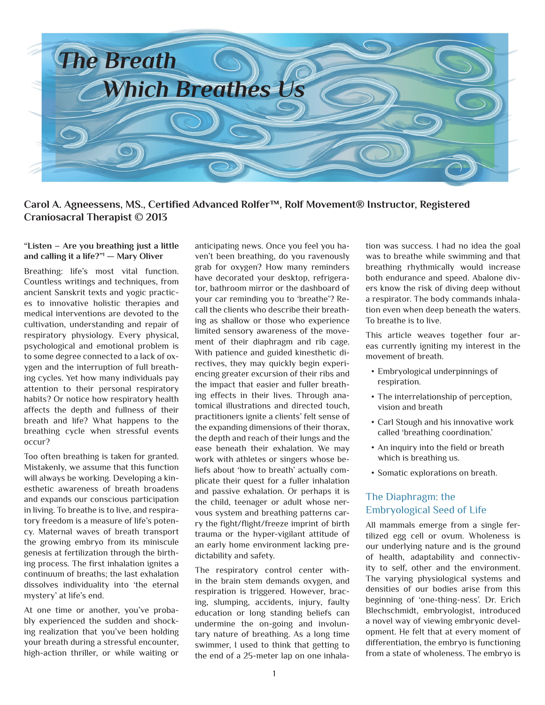

**Carol A. Agneessens, MS., Certified Advanced Rolfer™, Rolf Movement® Instructor, Registered Craniosacral Therapist © 2013**

## **"Listen – Are you breathing just a little and calling it a life?"1 — Mary Oliver**

Breathing: life's most vital function. Countless writings and techniques, from ancient Sanskrit texts and yogic practices to innovative holistic therapies and medical interventions are devoted to the cultivation, understanding and repair of respiratory physiology. Every physical, psychological and emotional problem is to some degree connected to a lack of oxygen and the interruption of full breathing cycles. Yet how many individuals pay attention to their personal respiratory habits? Or notice how respiratory health affects the depth and fullness of their breath and life? What happens to the breathing cycle when stressful events occur?

Too often breathing is taken for granted. Mistakenly, we assume that this function will always be working. Developing a kinesthetic awareness of breath broadens and expands our conscious participation in living. To breathe is to live, and respiratory freedom is a measure of life's potency. Maternal waves of breath transport the growing embryo from its miniscule genesis at fertilization through the birthing process. The first inhalation ignites a continuum of breaths; the last exhalation dissolves individuality into 'the eternal mystery' at life's end.

At one time or another, you've probably experienced the sudden and shocking realization that you've been holding your breath during a stressful encounter, high-action thriller, or while waiting or

anticipating news. Once you feel you haven't been breathing, do you ravenously grab for oxygen? How many reminders have decorated your desktop, refrigerator, bathroom mirror or the dashboard of your car reminding you to 'breathe'? Recall the clients who describe their breathing as shallow or those who experience limited sensory awareness of the movement of their diaphragm and rib cage. With patience and guided kinesthetic directives, they may quickly begin experiencing greater excursion of their ribs and the impact that easier and fuller breathing effects in their lives. Through anatomical illustrations and directed touch, practitioners ignite a clients' felt sense of the expanding dimensions of their thorax, the depth and reach of their lungs and the ease beneath their exhalation. We may work with athletes or singers whose beliefs about 'how to breath' actually complicate their quest for a fuller inhalation and passive exhalation. Or perhaps it is the child, teenager or adult whose nervous system and breathing patterns carry the fight/flight/freeze imprint of birth trauma or the hyper-vigilant attitude of an early home environment lacking predictability and safety.

The respiratory control center within the brain stem demands oxygen, and respiration is triggered. However, bracing, slumping, accidents, injury, faulty education or long standing beliefs can undermine the on-going and involuntary nature of breathing. As a long time swimmer, I used to think that getting to the end of a 25-meter lap on one inhalation was success. I had no idea the goal was to breathe while swimming and that breathing rhythmically would increase both endurance and speed. Abalone divers know the risk of diving deep without a respirator. The body commands inhalation even when deep beneath the waters. To breathe is to live.

This article weaves together four areas currently igniting my interest in the movement of breath.

- • Embryological underpinnings of respiration.
- • The interrelationship of perception, vision and breath
- • Carl Stough and his innovative work called 'breathing coordination.'
- • An inquiry into the field or breath which is breathing us.
- • Somatic explorations on breath.

# The Diaphragm: the Embryological Seed of Life

All mammals emerge from a single fertilized egg cell or ovum. Wholeness is our underlying nature and is the ground of health, adaptability and connectivity to self, other and the environment. The varying physiological systems and densities of our bodies arise from this beginning of 'one-thing-ness'. Dr. Erich Blechschmidt, embryologist, introduced a novel way of viewing embryonic development. He felt that at every moment of differentiation, the embryo is functioning from a state of wholeness. The embryo is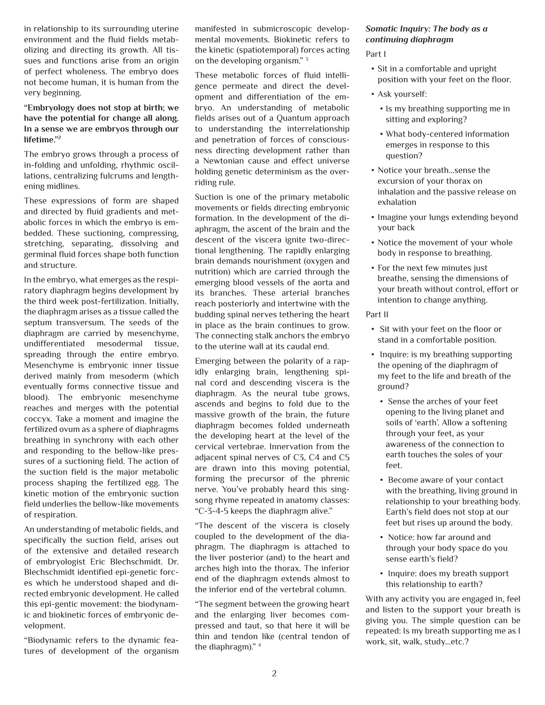in relationship to its surrounding uterine environment and the fluid fields metabolizing and directing its growth. All tissues and functions arise from an origin of perfect wholeness. The embryo does not become human, it is human from the very beginning.

## **"Embryology does not stop at birth; we have the potential for change all along. In a sense we are embryos through our lifetime."2**

The embryo grows through a process of in-folding and unfolding, rhythmic oscillations, centralizing fulcrums and lengthening midlines.

These expressions of form are shaped and directed by fluid gradients and metabolic forces in which the embryo is embedded. These suctioning, compressing, stretching, separating, dissolving and germinal fluid forces shape both function and structure.

In the embryo, what emerges as the respiratory diaphragm begins development by the third week post-fertilization. Initially, the diaphragm arises as a tissue called the septum transversum. The seeds of the diaphragm are carried by mesenchyme, undifferentiated mesodermal tissue, spreading through the entire embryo. Mesenchyme is embryonic inner tissue derived mainly from mesoderm (which eventually forms connective tissue and blood). The embryonic mesenchyme reaches and merges with the potential coccyx. Take a moment and imagine the fertilized ovum as a sphere of diaphragms breathing in synchrony with each other and responding to the bellow-like pressures of a suctioning field. The action of the suction field is the major metabolic process shaping the fertilized egg. The kinetic motion of the embryonic suction field underlies the bellow-like movements of respiration.

An understanding of metabolic fields, and specifically the suction field, arises out of the extensive and detailed research of embryologist Eric Blechschmidt. Dr. Blechschmidt identified epi-genetic forces which he understood shaped and directed embryonic development. He called this epi-gentic movement: the biodynamic and biokinetic forces of embryonic development.

"Biodynamic refers to the dynamic features of development of the organism manifested in submicroscopic developmental movements. Biokinetic refers to the kinetic (spatiotemporal) forces acting on the developing organism."<sup>3</sup>

These metabolic forces of fluid intelligence permeate and direct the development and differentiation of the embryo. An understanding of metabolic fields arises out of a Quantum approach to understanding the interrelationship and penetration of forces of consciousness directing development rather than a Newtonian cause and effect universe holding genetic determinism as the overriding rule.

Suction is one of the primary metabolic movements or fields directing embryonic formation. In the development of the diaphragm, the ascent of the brain and the descent of the viscera ignite two-directional lengthening. The rapidly enlarging brain demands nourishment (oxygen and nutrition) which are carried through the emerging blood vessels of the aorta and its branches. These arterial branches reach posteriorly and intertwine with the budding spinal nerves tethering the heart in place as the brain continues to grow. The connecting stalk anchors the embryo to the uterine wall at its caudal end.

Emerging between the polarity of a rapidly enlarging brain, lengthening spinal cord and descending viscera is the diaphragm. As the neural tube grows, ascends and begins to fold due to the massive growth of the brain, the future diaphragm becomes folded underneath the developing heart at the level of the cervical vertebrae. Innervation from the adjacent spinal nerves of C3, C4 and C5 are drawn into this moving potential, forming the precursor of the phrenic nerve. You've probably heard this singsong rhyme repeated in anatomy classes: "C-3-4-5 keeps the diaphragm alive."

"The descent of the viscera is closely coupled to the development of the diaphragm. The diaphragm is attached to the liver posterior (and) to the heart and arches high into the thorax. The inferior end of the diaphragm extends almost to the inferior end of the vertebral column.

"The segment between the growing heart and the enlarging liver becomes compressed and taut, so that here it will be thin and tendon like (central tendon of the diaphragm)." 4

# *Somatic Inquiry: The body as a continuing diaphragm*

Part I

- • Sit in a comfortable and upright position with your feet on the floor.
- • Ask yourself:
	- • Is my breathing supporting me in sitting and exploring?
	- • What body-centered information emerges in response to this question?
- • Notice your breath…sense the excursion of your thorax on inhalation and the passive release on exhalation
- Imagine your lungs extending beyond your back
- Notice the movement of your whole body in response to breathing.
- • For the next few minutes just breathe, sensing the dimensions of your breath without control, effort or intention to change anything.

## Part II

- • Sit with your feet on the floor or stand in a comfortable position.
- • Inquire: is my breathing supporting the opening of the diaphragm of my feet to the life and breath of the ground?
	- Sense the arches of your feet opening to the living planet and soils of 'earth'. Allow a softening through your feet, as your awareness of the connection to earth touches the soles of your feet.
	- • Become aware of your contact with the breathing, living ground in relationship to your breathing body. Earth's field does not stop at our feet but rises up around the body.
	- • Notice: how far around and through your body space do you sense earth's field?
	- • Inquire: does my breath support this relationship to earth?

With any activity you are engaged in, feel and listen to the support your breath is giving you. The simple question can be repeated: Is my breath supporting me as I work, sit, walk, study…etc.?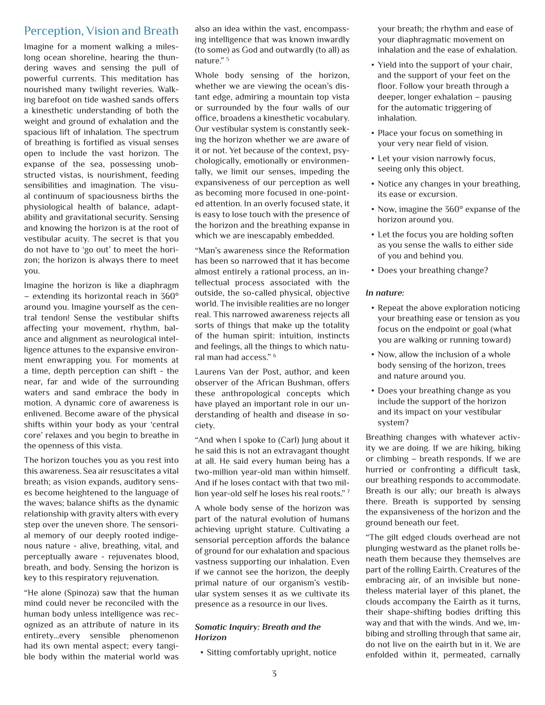# Perception, Vision and Breath

Imagine for a moment walking a mileslong ocean shoreline, hearing the thundering waves and sensing the pull of powerful currents. This meditation has nourished many twilight reveries. Walking barefoot on tide washed sands offers a kinesthetic understanding of both the weight and ground of exhalation and the spacious lift of inhalation. The spectrum of breathing is fortified as visual senses open to include the vast horizon. The expanse of the sea, possessing unobstructed vistas, is nourishment, feeding sensibilities and imagination. The visual continuum of spaciousness births the physiological health of balance, adaptability and gravitational security. Sensing and knowing the horizon is at the root of vestibular acuity. The secret is that you do not have to 'go out' to meet the horizon; the horizon is always there to meet you.

Imagine the horizon is like a diaphragm – extending its horizontal reach in 360° around you. Imagine yourself as the central tendon! Sense the vestibular shifts affecting your movement, rhythm, balance and alignment as neurological intelligence attunes to the expansive environment enwrapping you. For moments at a time, depth perception can shift - the near, far and wide of the surrounding waters and sand embrace the body in motion. A dynamic core of awareness is enlivened. Become aware of the physical shifts within your body as your 'central core' relaxes and you begin to breathe in the openness of this vista.

The horizon touches you as you rest into this awareness. Sea air resuscitates a vital breath; as vision expands, auditory senses become heightened to the language of the waves; balance shifts as the dynamic relationship with gravity alters with every step over the uneven shore. The sensorial memory of our deeply rooted indigenous nature - alive, breathing, vital, and perceptually aware - rejuvenates blood, breath, and body. Sensing the horizon is key to this respiratory rejuvenation.

"He alone (Spinoza) saw that the human mind could never be reconciled with the human body unless intelligence was recognized as an attribute of nature in its entirety…every sensible phenomenon had its own mental aspect; every tangible body within the material world was

also an idea within the vast, encompassing intelligence that was known inwardly (to some) as God and outwardly (to all) as nature."<sup>5</sup>

Whole body sensing of the horizon, whether we are viewing the ocean's distant edge, admiring a mountain top vista or surrounded by the four walls of our office, broadens a kinesthetic vocabulary. Our vestibular system is constantly seeking the horizon whether we are aware of it or not. Yet because of the context, psychologically, emotionally or environmentally, we limit our senses, impeding the expansiveness of our perception as well as becoming more focused in one-pointed attention. In an overly focused state, it is easy to lose touch with the presence of the horizon and the breathing expanse in which we are inescapably embedded.

"Man's awareness since the Reformation has been so narrowed that it has become almost entirely a rational process, an intellectual process associated with the outside, the so-called physical, objective world. The invisible realities are no longer real. This narrowed awareness rejects all sorts of things that make up the totality of the human spirit: intuition, instincts and feelings, all the things to which natural man had access." 6

Laurens Van der Post, author, and keen observer of the African Bushman, offers these anthropological concepts which have played an important role in our understanding of health and disease in society.

"And when I spoke to (Carl) Jung about it he said this is not an extravagant thought at all. He said every human being has a two-million year-old man within himself. And if he loses contact with that two million year-old self he loses his real roots."<sup>7</sup>

A whole body sense of the horizon was part of the natural evolution of humans achieving upright stature. Cultivating a sensorial perception affords the balance of ground for our exhalation and spacious vastness supporting our inhalation. Even if we cannot see the horizon, the deeply primal nature of our organism's vestibular system senses it as we cultivate its presence as a resource in our lives.

## *Somatic Inquiry: Breath and the Horizon*

• Sitting comfortably upright, notice

your breath; the rhythm and ease of your diaphragmatic movement on inhalation and the ease of exhalation.

- Yield into the support of your chair, and the support of your feet on the floor. Follow your breath through a deeper, longer exhalation – pausing for the automatic triggering of inhalation.
- Place your focus on something in your very near field of vision.
- • Let your vision narrowly focus, seeing only this object.
- • Notice any changes in your breathing, its ease or excursion.
- • Now, imagine the 360° expanse of the horizon around you.
- Let the focus you are holding soften as you sense the walls to either side of you and behind you.
- Does your breathing change?

### *In nature:*

- • Repeat the above exploration noticing your breathing ease or tension as you focus on the endpoint or goal (what you are walking or running toward)
- • Now, allow the inclusion of a whole body sensing of the horizon, trees and nature around you.
- • Does your breathing change as you include the support of the horizon and its impact on your vestibular system?

Breathing changes with whatever activity we are doing. If we are hiking, biking or climbing – breath responds. If we are hurried or confronting a difficult task, our breathing responds to accommodate. Breath is our ally; our breath is always there. Breath is supported by sensing the expansiveness of the horizon and the ground beneath our feet.

"The gilt edged clouds overhead are not plunging westward as the planet rolls beneath them because they themselves are part of the rolling Eairth. Creatures of the embracing air, of an invisible but nonetheless material layer of this planet, the clouds accompany the Eairth as it turns, their shape-shifting bodies drifting this way and that with the winds. And we, imbibing and strolling through that same air, do not live on the eairth but in it. We are enfolded within it, permeated, carnally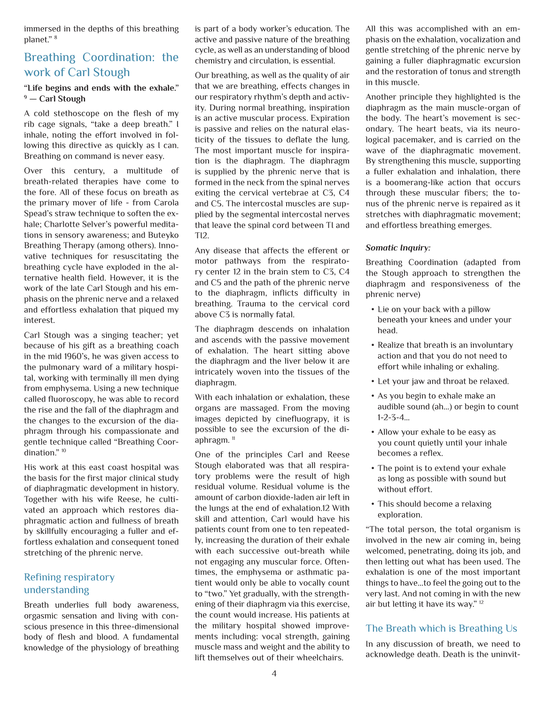immersed in the depths of this breathing planet." 8

# Breathing Coordination: the work of Carl Stough

## **"Life begins and ends with the exhale." 9 — Carl Stough**

A cold stethoscope on the flesh of my rib cage signals, "take a deep breath." I inhale, noting the effort involved in following this directive as quickly as I can. Breathing on command is never easy.

Over this century, a multitude of breath-related therapies have come to the fore. All of these focus on breath as the primary mover of life - from Carola Spead's straw technique to soften the exhale; Charlotte Selver's powerful meditations in sensory awareness; and Buteyko Breathing Therapy (among others). Innovative techniques for resuscitating the breathing cycle have exploded in the alternative health field. However, it is the work of the late Carl Stough and his emphasis on the phrenic nerve and a relaxed and effortless exhalation that piqued my interest.

Carl Stough was a singing teacher; yet because of his gift as a breathing coach in the mid 1960's, he was given access to the pulmonary ward of a military hospital, working with terminally ill men dying from emphysema. Using a new technique called fluoroscopy, he was able to record the rise and the fall of the diaphragm and the changes to the excursion of the diaphragm through his compassionate and gentle technique called "Breathing Coordination." 10

His work at this east coast hospital was the basis for the first major clinical study of diaphragmatic development in history. Together with his wife Reese, he cultivated an approach which restores diaphragmatic action and fullness of breath by skillfully encouraging a fuller and effortless exhalation and consequent toned stretching of the phrenic nerve.

# Refining respiratory understanding

Breath underlies full body awareness, orgasmic sensation and living with conscious presence in this three-dimensional body of flesh and blood. A fundamental knowledge of the physiology of breathing is part of a body worker's education. The active and passive nature of the breathing cycle, as well as an understanding of blood chemistry and circulation, is essential.

Our breathing, as well as the quality of air that we are breathing, effects changes in our respiratory rhythm's depth and activity. During normal breathing, inspiration is an active muscular process. Expiration is passive and relies on the natural elasticity of the tissues to deflate the lung. The most important muscle for inspiration is the diaphragm. The diaphragm is supplied by the phrenic nerve that is formed in the neck from the spinal nerves exiting the cervical vertebrae at C3, C4 and C5. The intercostal muscles are supplied by the segmental intercostal nerves that leave the spinal cord between TI and TI2.

Any disease that affects the efferent or motor pathways from the respiratory center 12 in the brain stem to C3, C4 and C5 and the path of the phrenic nerve to the diaphragm, inflicts difficulty in breathing. Trauma to the cervical cord above C3 is normally fatal.

The diaphragm descends on inhalation and ascends with the passive movement of exhalation. The heart sitting above the diaphragm and the liver below it are intricately woven into the tissues of the diaphragm.

With each inhalation or exhalation, these organs are massaged. From the moving images depicted by cinefluograpy, it is possible to see the excursion of the diaphragm.<sup>11</sup>

One of the principles Carl and Reese Stough elaborated was that all respiratory problems were the result of high residual volume. Residual volume is the amount of carbon dioxide-laden air left in the lungs at the end of exhalation.12 With skill and attention, Carl would have his patients count from one to ten repeatedly, increasing the duration of their exhale with each successive out-breath while not engaging any muscular force. Oftentimes, the emphysema or asthmatic patient would only be able to vocally count to "two." Yet gradually, with the strengthening of their diaphragm via this exercise, the count would increase. His patients at the military hospital showed improvements including: vocal strength, gaining muscle mass and weight and the ability to lift themselves out of their wheelchairs.

All this was accomplished with an emphasis on the exhalation, vocalization and gentle stretching of the phrenic nerve by gaining a fuller diaphragmatic excursion and the restoration of tonus and strength in this muscle.

Another principle they highlighted is the diaphragm as the main muscle-organ of the body. The heart's movement is secondary. The heart beats, via its neurological pacemaker, and is carried on the wave of the diaphragmatic movement. By strengthening this muscle, supporting a fuller exhalation and inhalation, there is a boomerang-like action that occurs through these muscular fibers; the tonus of the phrenic nerve is repaired as it stretches with diaphragmatic movement; and effortless breathing emerges.

#### *Somatic Inquiry:*

Breathing Coordination (adapted from the Stough approach to strengthen the diaphragm and responsiveness of the phrenic nerve)

- Lie on your back with a pillow beneath your knees and under your head.
- Realize that breath is an involuntary action and that you do not need to effort while inhaling or exhaling.
- • Let your jaw and throat be relaxed.
- • As you begin to exhale make an audible sound (ah…) or begin to count 1-2-3-4…
- • Allow your exhale to be easy as you count quietly until your inhale becomes a reflex.
- The point is to extend your exhale as long as possible with sound but without effort.
- This should become a relaxing exploration.

"The total person, the total organism is involved in the new air coming in, being welcomed, penetrating, doing its job, and then letting out what has been used. The exhalation is one of the most important things to have…to feel the going out to the very last. And not coming in with the new air but letting it have its way." 12

# The Breath which is Breathing Us

In any discussion of breath, we need to acknowledge death. Death is the uninvit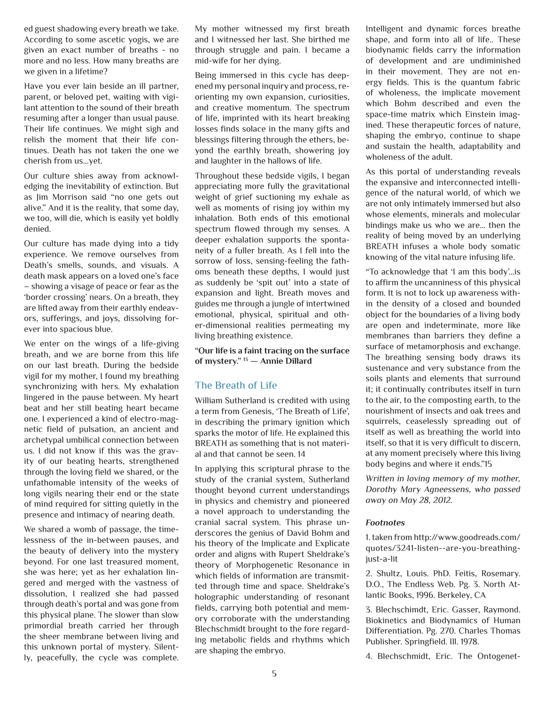ed guest shadowing every breath we take. According to some ascetic yogis, we are given an exact number of breaths - no more and no less. How many breaths are we given in a lifetime?

Have you ever lain beside an ill partner, parent, or beloved pet, waiting with vigilant attention to the sound of their breath resuming after a longer than usual pause. Their life continues. We might sigh and relish the moment that their life continues. Death has not taken the one we cherish from us…yet.

Our culture shies away from acknowledging the inevitability of extinction. But as Jim Morrison said "no one gets out alive." And it is the reality, that some day, we too, will die, which is easily yet boldly denied.

Our culture has made dying into a tidy experience. We remove ourselves from Death's smells, sounds, and visuals. A death mask appears on a loved one's face – showing a visage of peace or fear as the 'border crossing' nears. On a breath, they are lifted away from their earthly endeavors, sufferings, and joys, dissolving forever into spacious blue.

We enter on the wings of a life-giving breath, and we are borne from this life on our last breath. During the bedside vigil for my mother, I found my breathing synchronizing with hers. My exhalation lingered in the pause between. My heart beat and her still beating heart became one. I experienced a kind of electro-magnetic field of pulsation, an ancient and archetypal umbilical connection between us. I did not know if this was the gravity of our beating hearts, strengthened through the loving field we shared, or the unfathomable intensity of the weeks of long vigils nearing their end or the state of mind required for sitting quietly in the presence and intimacy of nearing death.

We shared a womb of passage, the timelessness of the in-between pauses, and the beauty of delivery into the mystery beyond. For one last treasured moment, she was here; yet as her exhalation lingered and merged with the vastness of dissolution, I realized she had passed through death's portal and was gone from this physical plane. The slower than slow primordial breath carried her through the sheer membrane between living and this unknown portal of mystery. Silently, peacefully, the cycle was complete.

My mother witnessed my first breath and I witnessed her last. She birthed me through struggle and pain. I became a mid-wife for her dying.

Being immersed in this cycle has deepened my personal inquiry and process, reorienting my own expansion, curiosities, and creative momentum. The spectrum of life, imprinted with its heart breaking losses finds solace in the many gifts and blessings filtering through the ethers, beyond the earthly breath, showering joy and laughter in the hallows of life.

Throughout these bedside vigils, I began appreciating more fully the gravitational weight of grief suctioning my exhale as well as moments of rising joy within my inhalation. Both ends of this emotional spectrum flowed through my senses. A deeper exhalation supports the spontaneity of a fuller breath. As I fell into the sorrow of loss, sensing-feeling the fathoms beneath these depths, I would just as suddenly be 'spit out' into a state of expansion and light. Breath moves and guides me through a jungle of intertwined emotional, physical, spiritual and other-dimensional realities permeating my living breathing existence.

**"Our life is a faint tracing on the surface of mystery." 13 — Annie Dillard**

# The Breath of Life

William Sutherland is credited with using a term from Genesis, 'The Breath of Life', in describing the primary ignition which sparks the motor of life. He explained this BREATH as something that is not material and that cannot be seen. 14

In applying this scriptural phrase to the study of the cranial system, Sutherland thought beyond current understandings in physics and chemistry and pioneered a novel approach to understanding the cranial sacral system. This phrase underscores the genius of David Bohm and his theory of the Implicate and Explicate order and aligns with Rupert Sheldrake's theory of Morphogenetic Resonance in which fields of information are transmitted through time and space. Sheldrake's holographic understanding of resonant fields, carrying both potential and memory corroborate with the understanding Blechschmidt brought to the fore regarding metabolic fields and rhythms which are shaping the embryo.

Intelligent and dynamic forces breathe shape, and form into all of life.. These biodynamic fields carry the information of development and are undiminished in their movement. They are not energy fields. This is the quantum fabric of wholeness, the implicate movement which Bohm described and even the space-time matrix which Einstein imagined. These therapeutic forces of nature, shaping the embryo, continue to shape and sustain the health, adaptability and wholeness of the adult.

As this portal of understanding reveals the expansive and interconnected intelligence of the natural world, of which we are not only intimately immersed but also whose elements, minerals and molecular bindings make us who we are… then the reality of being moved by an underlying BREATH infuses a whole body somatic knowing of the vital nature infusing life.

"To acknowledge that 'I am this body'…is to affirm the uncanniness of this physical form. It is not to lock up awareness within the density of a closed and bounded object for the boundaries of a living body are open and indeterminate, more like membranes than barriers they define a surface of metamorphosis and exchange. The breathing sensing body draws its sustenance and very substance from the soils plants and elements that surround it; it continually contributes itself in turn to the air, to the composting earth, to the nourishment of insects and oak trees and squirrels, ceaselessly spreading out of itself as well as breathing the world into itself, so that it is very difficult to discern, at any moment precisely where this living body begins and where it ends."15

*Written in loving memory of my mother, Dorothy Mary Agneessens, who passed away on May 28, 2012.*

## *Footnotes*

1. taken from http://www.goodreads.com/ quotes/3241-listen--are-you-breathingjust-a-lit

2. Shultz, Louis. PhD. Feitis, Rosemary. D.O., The Endless Web. Pg. 3. North Atlantic Books, 1996. Berkeley, CA

3. Blechschimdt, Eric. Gasser, Raymond. Biokinetics and Biodynamics of Human Differentiation. Pg. 270. Charles Thomas Publisher. Springfield. Ill. 1978.

4. Blechschmidt, Eric. The Ontogenet-